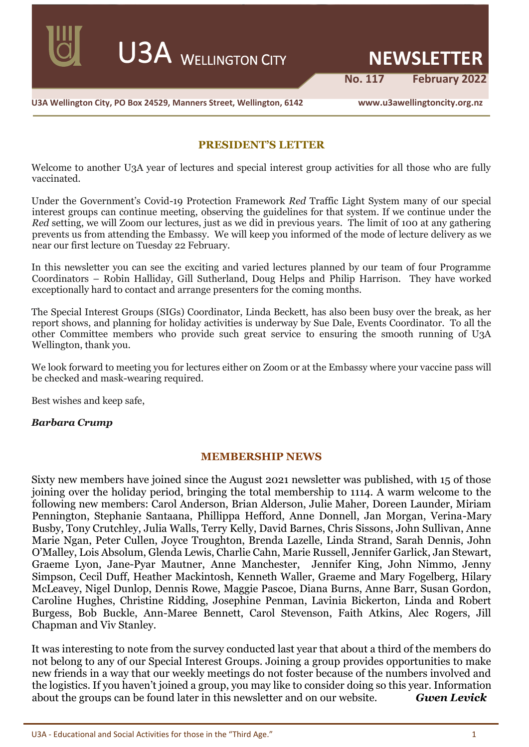U3A <sup>W</sup>ELLINGTON CITY **NEWSLETTER**

 **No. 117 February 2022**

**U3A Wellington City, PO Box 24529, Manners Street, Wellington, 6142 www.u3awellingtoncity.org.nz**

### **PRESIDENT'S LETTER**

Welcome to another U3A year of lectures and special interest group activities for all those who are fully vaccinated.

Under the Government's Covid-19 Protection Framework *Red* Traffic Light System many of our special interest groups can continue meeting, observing the guidelines for that system. If we continue under the *Red* setting, we will Zoom our lectures, just as we did in previous years. The limit of 100 at any gathering prevents us from attending the Embassy. We will keep you informed of the mode of lecture delivery as we near our first lecture on Tuesday 22 February.

In this newsletter you can see the exciting and varied lectures planned by our team of four Programme Coordinators – Robin Halliday, Gill Sutherland, Doug Helps and Philip Harrison. They have worked exceptionally hard to contact and arrange presenters for the coming months.

The Special Interest Groups (SIGs) Coordinator, Linda Beckett, has also been busy over the break, as her report shows, and planning for holiday activities is underway by Sue Dale, Events Coordinator. To all the other Committee members who provide such great service to ensuring the smooth running of U3A Wellington, thank you.

We look forward to meeting you for lectures either on Zoom or at the Embassy where your vaccine pass will be checked and mask-wearing required.

Best wishes and keep safe,

### *Barbara Crump*

### **MEMBERSHIP NEWS**

Sixty new members have joined since the August 2021 newsletter was published, with 15 of those joining over the holiday period, bringing the total membership to 1114. A warm welcome to the following new members: Carol Anderson, Brian Alderson, Julie Maher, Doreen Launder, Miriam Pennington, Stephanie Santaana, Phillippa Hefford, Anne Donnell, Jan Morgan, Verina-Mary Busby, Tony Crutchley, Julia Walls, Terry Kelly, David Barnes, Chris Sissons, John Sullivan, Anne Marie Ngan, Peter Cullen, Joyce Troughton, Brenda Lazelle, Linda Strand, Sarah Dennis, John O'Malley, Lois Absolum, Glenda Lewis, Charlie Cahn, Marie Russell, Jennifer Garlick, Jan Stewart, Graeme Lyon, Jane-Pyar Mautner, Anne Manchester, Jennifer King, John Nimmo, Jenny Simpson, Cecil Duff, Heather Mackintosh, Kenneth Waller, Graeme and Mary Fogelberg, Hilary McLeavey, Nigel Dunlop, Dennis Rowe, Maggie Pascoe, Diana Burns, Anne Barr, Susan Gordon, Caroline Hughes, Christine Ridding, Josephine Penman, Lavinia Bickerton, Linda and Robert Burgess, Bob Buckle, Ann-Maree Bennett, Carol Stevenson, Faith Atkins, Alec Rogers, Jill Chapman and Viv Stanley.

It was interesting to note from the survey conducted last year that about a third of the members do not belong to any of our Special Interest Groups. Joining a group provides opportunities to make new friends in a way that our weekly meetings do not foster because of the numbers involved and the logistics. If you haven't joined a group, you may like to consider doing so this year. Information about the groups can be found later in this newsletter and on our website. *Gwen Levick*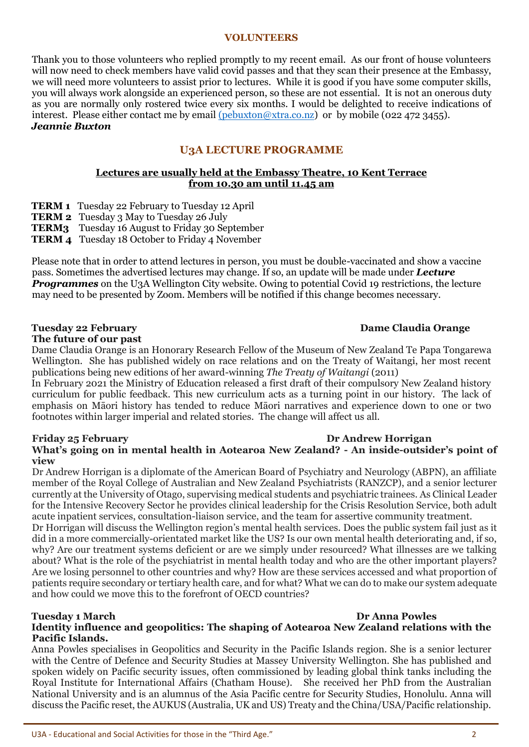### **VOLUNTEERS**

Thank you to those volunteers who replied promptly to my recent email. As our front of house volunteers will now need to check members have valid covid passes and that they scan their presence at the Embassy, we will need more volunteers to assist prior to lectures. While it is good if you have some computer skills, you will always work alongside an experienced person, so these are not essential. It is not an onerous duty as you are normally only rostered twice every six months. I would be delighted to receive indications of interest. Please either contact me by email [\(pebuxton@xtra.co.nz\)](mailto:(pebuxton@xtra.co.nz) or by mobile (022 472 3455). *Jeannie Buxton*

# **U3A LECTURE PROGRAMME**

### **Lectures are usually held at the Embassy Theatre, 10 Kent Terrace from 10.30 am until 11.45 am**

- **TERM 1** Tuesday 22 February to Tuesday 12 April
- **TERM 2** Tuesday 3 May to Tuesday 26 July
- **TERM3** Tuesday 16 August to Friday 30 September
- **TERM 4** Tuesday 18 October to Friday 4 November

Please note that in order to attend lectures in person, you must be double-vaccinated and show a vaccine pass. Sometimes the advertised lectures may change. If so, an update will be made under *Lecture Programmes* on the U<sub>3</sub>A Wellington City website. Owing to potential Covid 19 restrictions, the lecture may need to be presented by Zoom. Members will be notified if this change becomes necessary.

### **Tuesday 22 February Dame Claudia Orange**

### **The future of our past**

Dame Claudia Orange is an Honorary Research Fellow of the Museum of New Zealand Te Papa Tongarewa Wellington. She has published widely on race relations and on the Treaty of Waitangi, her most recent publications being new editions of her award-winning *The Treaty of Waitangi* (2011)

In February 2021 the Ministry of Education released a first draft of their compulsory New Zealand history curriculum for public feedback. This new curriculum acts as a turning point in our history. The lack of emphasis on Māori history has tended to reduce Māori narratives and experience down to one or two footnotes within larger imperial and related stories. The change will affect us all.

### **Friday 25 February Dr Andrew Horrigan What's going on in mental health in Aotearoa New Zealand? - An inside-outsider's point of view**

Dr Andrew Horrigan is a diplomate of the American Board of Psychiatry and Neurology (ABPN), an affiliate member of the Royal College of Australian and New Zealand Psychiatrists (RANZCP), and a senior lecturer currently at the University of Otago, supervising medical students and psychiatric trainees. As Clinical Leader for the Intensive Recovery Sector he provides clinical leadership for the Crisis Resolution Service, both adult acute inpatient services, consultation-liaison service, and the team for assertive community treatment.

Dr Horrigan will discuss the Wellington region's mental health services. Does the public system fail just as it did in a more commercially-orientated market like the US? Is our own mental health deteriorating and, if so, why? Are our treatment systems deficient or are we simply under resourced? What illnesses are we talking about? What is the role of the psychiatrist in mental health today and who are the other important players? Are we losing personnel to other countries and why? How are these services accessed and what proportion of patients require secondary or tertiary health care, and for what? What we can do to make our system adequate and how could we move this to the forefront of OECD countries?

### **Tuesday 1 March Dr Anna Powles Identity influence and geopolitics: The shaping of Aotearoa New Zealand relations with the Pacific Islands.**

Anna Powles specialises in Geopolitics and Security in the Pacific Islands region. She is a senior lecturer with the Centre of Defence and Security Studies at Massey University Wellington. She has published and spoken widely on Pacific security issues, often commissioned by leading global think tanks including the Royal Institute for International Affairs (Chatham House). She received her PhD from the Australian National University and is an alumnus of the Asia Pacific centre for Security Studies, Honolulu. Anna will discuss the Pacific reset, the AUKUS (Australia, UK and US) Treaty and the China/USA/Pacific relationship.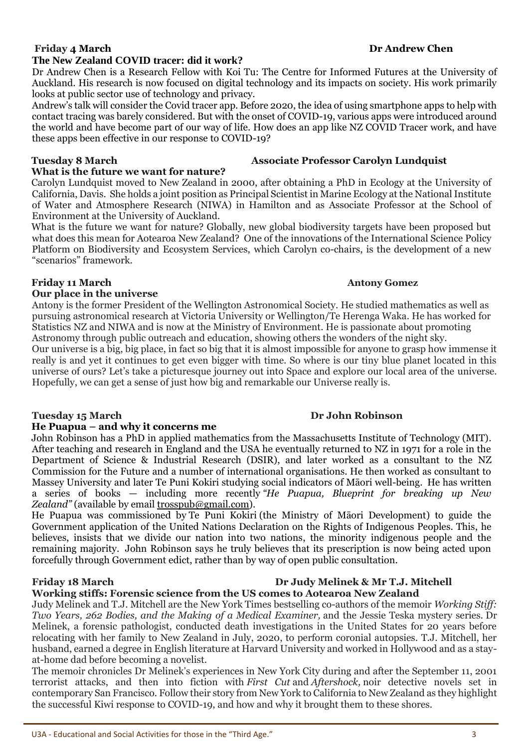### Friday 4 March Dr Andrew Chen **The New Zealand COVID tracer: did it work?**

Dr Andrew Chen is a Research Fellow with Koi Tu: The Centre for Informed Futures at the University of Auckland. His research is now focused on digital technology and its impacts on society. His work primarily looks at public sector use of technology and privacy.

Andrew's talk will consider the Covid tracer app. Before 2020, the idea of using smartphone apps to help with contact tracing was barely considered. But with the onset of COVID-19, various apps were introduced around the world and have become part of our way of life. How does an app like NZ COVID Tracer work, and have these apps been effective in our response to COVID-19?

# **Tuesday 8 March Carolyn Carolyn Associate Professor Carolyn Lundquist**

# **What is the future we want for nature?**

Carolyn Lundquist moved to New Zealand in 2000, after obtaining a PhD in Ecology at the University of California, Davis. She holds a joint position as Principal Scientist in Marine Ecology at the National Institute of Water and Atmosphere Research (NIWA) in Hamilton and as Associate Professor at the School of Environment at the University of Auckland.

What is the future we want for nature? Globally, new global biodiversity targets have been proposed but what does this mean for Aotearoa New Zealand? One of the innovations of the International Science Policy Platform on Biodiversity and Ecosystem Services, which Carolyn co-chairs, is the development of a new "scenarios" framework.

# **Friday 11 March Antony Gomez**

# **Our place in the universe**

Antony is the former President of the Wellington Astronomical Society. He studied mathematics as well as pursuing astronomical research at Victoria University or Wellington/Te Herenga Waka. He has worked for Statistics NZ and NIWA and is now at the Ministry of Environment. He is passionate about promoting Astronomy through public outreach and education, showing others the wonders of the night sky.

Our universe is a big, big place, in fact so big that it is almost impossible for anyone to grasp how immense it really is and yet it continues to get even bigger with time. So where is our tiny blue planet located in this universe of ours? Let's take a picturesque journey out into Space and explore our local area of the universe. Hopefully, we can get a sense of just how big and remarkable our Universe really is.

# **Tuesday 15 March Community Community Community Community Dr John Robinson**

# **He Puapua – and why it concerns me**

John Robinson has a PhD in applied mathematics from the Massachusetts Institute of Technology (MIT). After teaching and research in England and the USA he eventually returned to NZ in 1971 for a role in the Department of Science & Industrial Research (DSIR), and later worked as a consultant to the NZ Commission for the Future and a number of international organisations. He then worked as consultant to Massey University and later Te Puni Kokiri studying social indicators of Māori well-being. He has written a series of books — including more recently *"He Puapua, Blueprint for breaking up New Zealand"* (available by email [trosspub@gmail.com\)](mailto:trosspub@gmail.com).

He Puapua was commissioned by Te Puni Kokiri (the Ministry of Māori Development) to guide the Government application of the United Nations Declaration on the Rights of Indigenous Peoples. This, he believes, insists that we divide our nation into two nations, the minority indigenous people and the remaining majority. John Robinson says he truly believes that its prescription is now being acted upon forcefully through Government edict, rather than by way of open public consultation.

# **Working stiffs: Forensic science from the US comes to Aotearoa New Zealand**

Judy Melinek and T.J. Mitchell are the New York Times bestselling co-authors of the memoir *Working Stiff: Two Years, 262 Bodies, and the Making of a Medical Examiner,* and the Jessie Teska mystery series*.* Dr Melinek, a forensic pathologist, conducted death investigations in the United States for 20 years before relocating with her family to New Zealand in July, 2020, to perform coronial autopsies. T.J. Mitchell, her husband, earned a degree in English literature at Harvard University and worked in Hollywood and as a stayat-home dad before becoming a novelist.

The memoir chronicles Dr Melinek's experiences in New York City during and after the September 11, 2001 terrorist attacks, and then into fiction with *First Cut* and *Aftershock,* noir detective novels set in contemporary San Francisco. Follow their story from New York to California to New Zealand as they highlight the successful Kiwi response to COVID-19, and how and why it brought them to these shores.

**Friday 18 March Dr Judy Melinek & Mr T.J. Mitchell**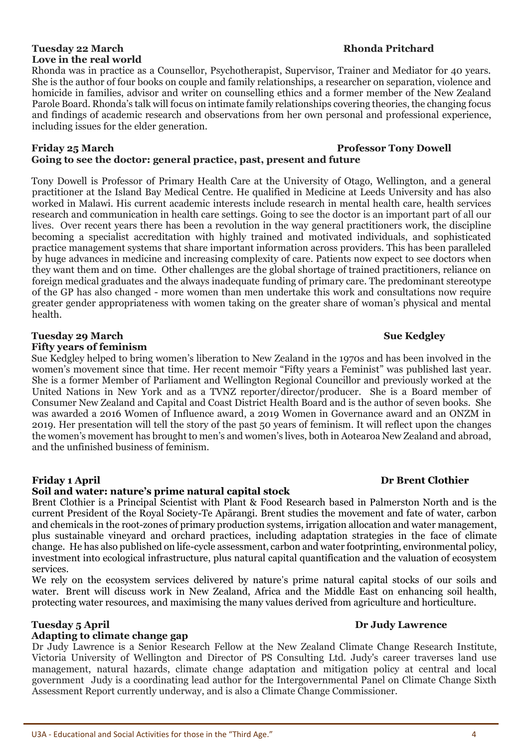# **Tuesday 22 March Rhonda Pritchard Rhonda Pritchard Love in the real world**

Rhonda was in practice as a Counsellor, Psychotherapist, Supervisor, Trainer and Mediator for 40 years. She is the author of four books on couple and family relationships, a researcher on separation, violence and homicide in families, advisor and writer on counselling ethics and a former member of the New Zealand Parole Board. Rhonda's talk will focus on intimate family relationships covering theories, the changing focus and findings of academic research and observations from her own personal and professional experience, including issues for the elder generation.

### **Friday 25 March Professor Tony Dowell**

# **Going to see the doctor: general practice, past, present and future**

Tony Dowell is Professor of Primary Health Care at the University of Otago, Wellington, and a general practitioner at the Island Bay Medical Centre. He qualified in Medicine at Leeds University and has also worked in Malawi. His current academic interests include research in mental health care, health services research and communication in health care settings. Going to see the doctor is an important part of all our lives. Over recent years there has been a revolution in the way general practitioners work, the discipline becoming a specialist accreditation with highly trained and motivated individuals, and sophisticated practice management systems that share important information across providers. This has been paralleled by huge advances in medicine and increasing complexity of care. Patients now expect to see doctors when they want them and on time. Other challenges are the global shortage of trained practitioners, reliance on foreign medical graduates and the always inadequate funding of primary care. The predominant stereotype of the GP has also changed - more women than men undertake this work and consultations now require greater gender appropriateness with women taking on the greater share of woman's physical and mental health.

# **Tuesday 29 March Sue Kedgley 30 Sue Kedgley 30 Sue Kedgley 30 Sue Kedgley 30 Sue Kedgley 30 Sue Kedgley 30 Sue Kedgley 30 Sue Kedgley 30 Sue Kedgley 30 Sue Kedgley 30 Sue Kedgley 30 Sue Kedgley 30 Sue Kedgley 30 Sue Kedgl**

### **Fifty years of feminism**

Sue Kedgley helped to bring women's liberation to New Zealand in the 1970s and has been involved in the women's movement since that time. Her recent memoir "Fifty years a Feminist" was published last year. She is a former Member of Parliament and Wellington Regional Councillor and previously worked at the United Nations in New York and as a TVNZ reporter/director/producer. She is a Board member of Consumer New Zealand and Capital and Coast District Health Board and is the author of seven books. She was awarded a 2016 Women of Influence award, a 2019 Women in Governance award and an ONZM in 2019. Her presentation will tell the story of the past 50 years of feminism. It will reflect upon the changes the women's movement has brought to men's and women's lives, both in Aotearoa New Zealand and abroad, and the unfinished business of feminism.

### **Friday 1 April Dr Brent Clothier**

### **Soil and water: nature's prime natural capital stock**

Brent Clothier is a Principal Scientist with Plant & Food Research based in Palmerston North and is the current President of the Royal Society-Te Apārangi. Brent studies the movement and fate of water, carbon and chemicals in the root-zones of primary production systems, irrigation allocation and water management, plus sustainable vineyard and orchard practices, including adaptation strategies in the face of climate change. He has also published on life-cycle assessment, carbon and water footprinting, environmental policy, investment into ecological infrastructure, plus natural capital quantification and the valuation of ecosystem services.

We rely on the ecosystem services delivered by nature's prime natural capital stocks of our soils and water. Brent will discuss work in New Zealand, Africa and the Middle East on enhancing soil health, protecting water resources, and maximising the many values derived from agriculture and horticulture.

### **Adapting to climate change gap**

Dr Judy Lawrence is a Senior Research Fellow at the New Zealand Climate Change Research Institute, Victoria University of Wellington and Director of PS Consulting Ltd. Judy's career traverses land use management, natural hazards, climate change adaptation and mitigation policy at central and local government Judy is a coordinating lead author for the Intergovernmental Panel on Climate Change Sixth Assessment Report currently underway, and is also a Climate Change Commissioner.

### **Tuesday 5 April Dr Judy Lawrence**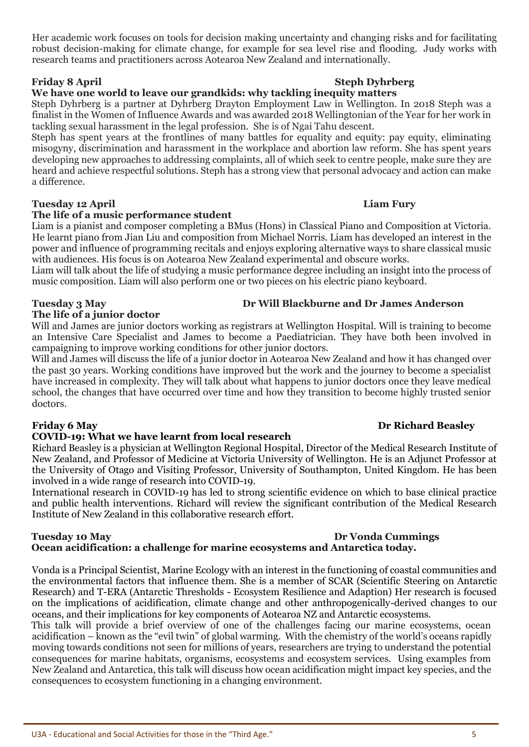U3A - Educational and Social Activities for those in the "Third Age." 5

Her academic work focuses on tools for decision making uncertainty and changing risks and for facilitating robust decision-making for climate change, for example for sea level rise and flooding. Judy works with research teams and practitioners across Aotearoa New Zealand and internationally.

# **Friday 8 April Steph Dyhrberg**

# **We have one world to leave our grandkids: why tackling inequity matters**

Steph Dyhrberg is a partner at Dyhrberg Drayton Employment Law in Wellington. In 2018 Steph was a finalist in the Women of Influence Awards and was awarded 2018 Wellingtonian of the Year for her work in tackling sexual harassment in the legal profession. She is of Ngai Tahu descent.

Steph has spent years at the frontlines of many battles for equality and equity: pay equity, eliminating misogyny, discrimination and harassment in the workplace and abortion law reform. She has spent years developing new approaches to addressing complaints, all of which seek to centre people, make sure they are heard and achieve respectful solutions. Steph has a strong view that personal advocacy and action can make a difference.

# **Tuesday 12 April Liam Fury**

# **The life of a music performance student**

Liam is a pianist and composer completing a BMus (Hons) in Classical Piano and Composition at Victoria. He learnt piano from Jian Liu and composition from Michael Norris. Liam has developed an interest in the power and influence of programming recitals and enjoys exploring alternative ways to share classical music with audiences. His focus is on Aotearoa New Zealand experimental and obscure works.

Liam will talk about the life of studying a music performance degree including an insight into the process of music composition. Liam will also perform one or two pieces on his electric piano keyboard.

# **Tuesday 3 May Dr Will Blackburne and Dr James Anderson**

**The life of a junior doctor**

Will and James are junior doctors working as registrars at Wellington Hospital. Will is training to become an Intensive Care Specialist and James to become a Paediatrician. They have both been involved in campaigning to improve working conditions for other junior doctors.

Will and James will discuss the life of a junior doctor in Aotearoa New Zealand and how it has changed over the past 30 years. Working conditions have improved but the work and the journey to become a specialist have increased in complexity. They will talk about what happens to junior doctors once they leave medical school, the changes that have occurred over time and how they transition to become highly trusted senior doctors.

# **COVID-19: What we have learnt from local research**

Richard Beasley is a physician at Wellington Regional Hospital, Director of the Medical Research Institute of New Zealand, and Professor of Medicine at Victoria University of Wellington. He is an Adjunct Professor at the University of Otago and Visiting Professor, University of Southampton, United Kingdom. He has been involved in a wide range of research into COVID-19.

International research in COVID-19 has led to strong scientific evidence on which to base clinical practice and public health interventions. Richard will review the significant contribution of the Medical Research Institute of New Zealand in this collaborative research effort.

### **Tuesday 10 May 20 August 20 August 20 August 20 August 20 August 20 August 20 August 20 August 20 August 20 August 20 August 20 August 20 August 20 August 20 August 20 August 20 August 20 August 20 August 20 August 20 Aug Ocean acidification: a challenge for marine ecosystems and Antarctica today.**

Vonda is a Principal Scientist, Marine Ecology with an interest in the functioning of coastal communities and the environmental factors that influence them. She is a member of SCAR (Scientific Steering on Antarctic Research) and T-ERA (Antarctic Thresholds - Ecosystem Resilience and Adaption) Her research is focused on the implications of acidification, climate change and other anthropogenically-derived changes to our oceans, and their implications for key components of Aotearoa NZ and Antarctic ecosystems.

This talk will provide a brief overview of one of the challenges facing our marine ecosystems, ocean acidification – known as the "evil twin" of global warming. With the chemistry of the world's oceans rapidly moving towards conditions not seen for millions of years, researchers are trying to understand the potential consequences for marine habitats, organisms, ecosystems and ecosystem services. Using examples from New Zealand and Antarctica, this talk will discuss how ocean acidification might impact key species, and the consequences to ecosystem functioning in a changing environment.

### **Friday 6 May Dr Richard Beasley**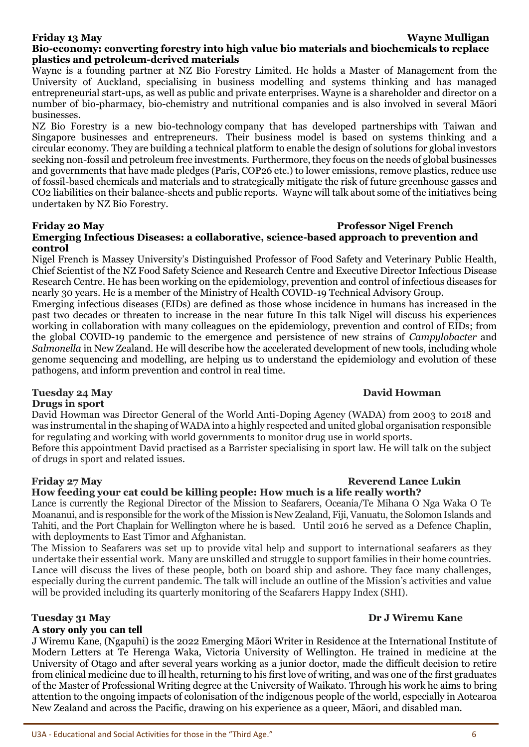# **Friday 13 May Wayne Mulligan**

# **Bio-economy: converting forestry into high value bio materials and biochemicals to replace plastics and petroleum-derived materials**

Wayne is a founding partner at NZ Bio Forestry Limited. He holds a Master of Management from the University of Auckland, specialising in business modelling and systems thinking and has managed entrepreneurial start-ups, as well as public and private enterprises. Wayne is a shareholder and director on a number of bio-pharmacy, bio-chemistry and nutritional companies and is also involved in several Māori businesses.

NZ Bio Forestry is a new bio-technology company that has developed partnerships with Taiwan and Singapore businesses and entrepreneurs. Their business model is based on systems thinking and a circular economy. They are building a technical platform to enable the design of solutions for global investors seeking non-fossil and petroleum free investments. Furthermore, they focus on the needs of global businesses and governments that have made pledges (Paris, COP26 etc.) to lower emissions, remove plastics, reduce use of fossil-based chemicals and materials and to strategically mitigate the risk of future greenhouse gasses and CO2 liabilities on their balance-sheets and public reports. Wayne will talk about some of the initiatives being undertaken by NZ Bio Forestry.

### **Friday 20 May Professor Nigel French Emerging Infectious Diseases: a collaborative, science-based approach to prevention and control**

Nigel French is Massey University's Distinguished Professor of Food Safety and Veterinary Public Health, Chief Scientist of the NZ Food Safety Science and Research Centre and Executive Director Infectious Disease Research Centre. He has been working on the epidemiology, prevention and control of infectious diseases for nearly 30 years. He is a member of the Ministry of Health COVID-19 Technical Advisory Group.

Emerging infectious diseases (EIDs) are defined as those whose incidence in humans has increased in the past two decades or threaten to increase in the near future In this talk Nigel will discuss his experiences working in collaboration with many colleagues on the epidemiology, prevention and control of EIDs; from the global COVID-19 pandemic to the emergence and persistence of new strains of *Campylobacter* and *Salmonella* in New Zealand. He will describe how the accelerated development of new tools, including whole genome sequencing and modelling, are helping us to understand the epidemiology and evolution of these pathogens, and inform prevention and control in real time.

### **Tuesday 24 May David Howman Drugs in sport**

David Howman was Director General of the World Anti-Doping Agency (WADA) from 2003 to 2018 and was instrumental in the shaping of WADA into a highly respected and united global organisation responsible for regulating and working with world governments to monitor drug use in world sports.

Before this appointment David practised as a Barrister specialising in sport law. He will talk on the subject of drugs in sport and related issues.

# **Friday 27 May** Reverend Lance Lukin

**How feeding your cat could be killing people: How much is a life really worth?** Lance is currently the Regional Director of the Mission to Seafarers, Oceania/Te Mihana O Nga Waka O Te Moananui, and is responsible for the work of the Mission is New Zealand, Fiji, Vanuatu, the Solomon Islands and

Tahiti, and the Port Chaplain for Wellington where he is based. Until 2016 he served as a Defence Chaplin, with deployments to East Timor and Afghanistan. The Mission to Seafarers was set up to provide vital help and support to international seafarers as they undertake their essential work. Many are unskilled and struggle to support families in their home countries.

Lance will discuss the lives of these people, both on board ship and ashore. They face many challenges, especially during the current pandemic. The talk will include an outline of the Mission's activities and value will be provided including its quarterly monitoring of the Seafarers Happy Index (SHI).

# **A story only you can tell**

J Wiremu Kane, (Ngapuhi) is the 2022 Emerging Māori Writer in Residence at the International Institute of Modern Letters at Te Herenga Waka, Victoria University of Wellington. He trained in medicine at the University of Otago and after several years working as a junior doctor, made the difficult decision to retire from clinical medicine due to ill health, returning to his first love of writing, and was one of the first graduates of the Master of Professional Writing degree at the University of Waikato. Through his work he aims to bring attention to the ongoing impacts of colonisation of the indigenous people of the world, especially in Aotearoa New Zealand and across the Pacific, drawing on his experience as a queer, Māori, and disabled man.

# **Tuesday 31 May Dr J Wiremu Kane**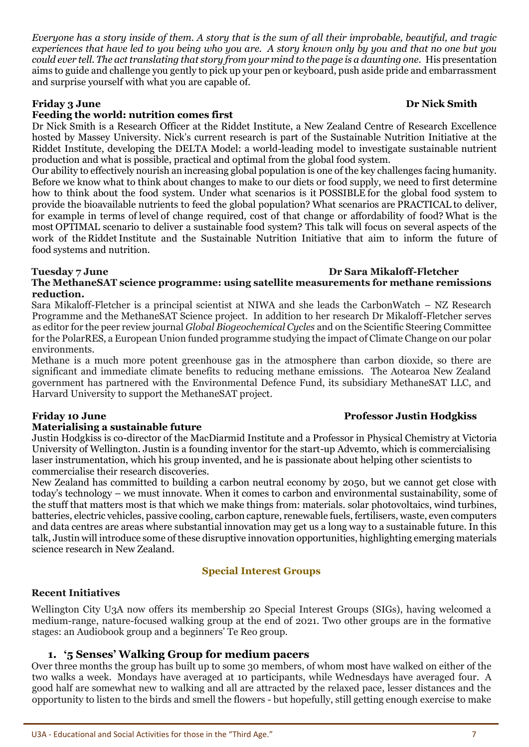*Everyone has a story inside of them. A story that is the sum of all their improbable, beautiful, and tragic experiences that have led to you being who you are. A story known only by you and that no one but you could ever tell. The act translating that story from your mind to the page is a daunting one.* His presentation aims to guide and challenge you gently to pick up your pen or keyboard, push aside pride and embarrassment and surprise yourself with what you are capable of.

# **Friday 3 June Dr Nick Smith**

# **Feeding the world: nutrition comes first**

Dr Nick Smith is a Research Officer at the Riddet Institute, a New Zealand Centre of Research Excellence hosted by Massey University. Nick's current research is part of the Sustainable Nutrition Initiative at the Riddet Institute, developing the DELTA Model: a world-leading model to investigate sustainable nutrient production and what is possible, practical and optimal from the global food system.

Our ability to effectively nourish an increasing global population is one of the key challenges facing humanity. Before we know what to think about changes to make to our diets or food supply, we need to first determine how to think about the food system. Under what scenarios is it POSSIBLE for the global food system to provide the bioavailable nutrients to feed the global population? What scenarios are PRACTICAL to deliver, for example in terms of level of change required, cost of that change or affordability of food? What is the most OPTIMAL scenario to deliver a sustainable food system? This talk will focus on several aspects of the work of the Riddet Institute and the Sustainable Nutrition Initiative that aim to inform the future of food systems and nutrition.

### **Tuesday 7 June Dr Sara Mikaloff-Fletcher The MethaneSAT science programme: using satellite measurements for methane remissions reduction.**

Sara Mikaloff-Fletcher is a principal scientist at NIWA and she leads the CarbonWatch – NZ Research Programme and the MethaneSAT Science project. In addition to her research Dr Mikaloff-Fletcher serves as editor for the peer review journal *Global Biogeochemical Cycles* and on the Scientific Steering Committee for the PolarRES, a European Union funded programme studying the impact of Climate Change on our polar environments.

Methane is a much more potent greenhouse gas in the atmosphere than carbon dioxide, so there are significant and immediate climate benefits to reducing methane emissions. The Aotearoa New Zealand government has partnered with the Environmental Defence Fund, its subsidiary MethaneSAT LLC, and Harvard University to support the MethaneSAT project.

### **Materialising a sustainable future**

Justin Hodgkiss is co-director of the MacDiarmid Institute and a Professor in Physical Chemistry at Victoria University of Wellington. Justin is a founding inventor for the start-up Advemto, which is commercialising laser instrumentation, which his group invented, and he is passionate about helping other scientists to commercialise their research discoveries.

New Zealand has committed to building a carbon neutral economy by 2050, but we cannot get close with today's technology – we must innovate. When it comes to carbon and environmental sustainability, some of the stuff that matters most is that which we make things from: materials. solar photovoltaics, wind turbines, batteries, electric vehicles, passive cooling, carbon capture, renewable fuels, fertilisers, waste, even computers and data centres are areas where substantial innovation may get us a long way to a sustainable future. In this talk, Justin will introduce some of these disruptive innovation opportunities, highlighting emerging materials science research in New Zealand.

# **Special Interest Groups**

### **Recent Initiatives**

Wellington City U3A now offers its membership 20 Special Interest Groups (SIGs), having welcomed a medium-range, nature-focused walking group at the end of 2021. Two other groups are in the formative stages: an Audiobook group and a beginners' Te Reo group.

# **1. '5 Senses' Walking Group for medium pacers**

Over three months the group has built up to some 30 members, of whom most have walked on either of the two walks a week. Mondays have averaged at 10 participants, while Wednesdays have averaged four. A good half are somewhat new to walking and all are attracted by the relaxed pace, lesser distances and the opportunity to listen to the birds and smell the flowers - but hopefully, still getting enough exercise to make

### **Friday 10 June Professor Justin Hodgkiss**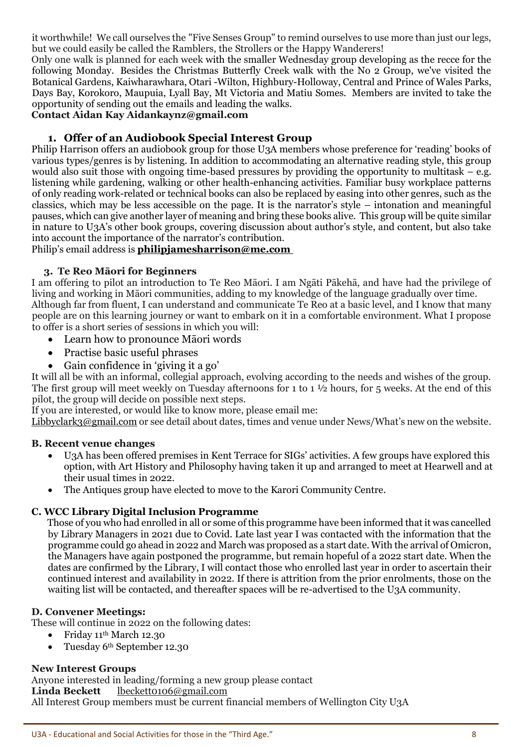it worthwhile! We call ourselves the "Five Senses Group" to remind ourselves to use more than just our legs, but we could easily be called the Ramblers, the Strollers or the Happy Wanderers!

Only one walk is planned for each week with the smaller Wednesday group developing as the recce for the following Monday. Besides the Christmas Butterfly Creek walk with the No 2 Group, we've visited the Botanical Gardens, Kaiwharawhara, Otari -Wilton, Highbury-Holloway, Central and Prince of Wales Parks, Days Bay, Korokoro, Maupuia, Lyall Bay, Mt Victoria and Matiu Somes. Members are invited to take the opportunity of sending out the emails and leading the walks.

# **Contact Aidan Kay Aidankaynz@gmail.com**

# **1. Offer of an Audiobook Special Interest Group**

Philip Harrison offers an audiobook group for those U3A members whose preference for 'reading' books of various types/genres is by listening. In addition to accommodating an alternative reading style, this group would also suit those with ongoing time-based pressures by providing the opportunity to multitask – e.g. listening while gardening, walking or other health-enhancing activities. Familiar busy workplace patterns of only reading work-related or technical books can also be replaced by easing into other genres, such as the classics, which may be less accessible on the page. It is the narrator's style – intonation and meaningful pauses, which can give another layer of meaning and bring these books alive. This group will be quite similar in nature to U3A's other book groups, covering discussion about author's style, and content, but also take into account the importance of the narrator's contribution.

### Philip's email address is **[philipjamesharrison@me.com](mailto:philipjamesharrison@me.com)**

### **3. Te Reo Māori for Beginners**

I am offering to pilot an introduction to Te Reo Māori. I am Ngāti Pākehā, and have had the privilege of living and working in Māori communities, adding to my knowledge of the language gradually over time. Although far from fluent, I can understand and communicate Te Reo at a basic level, and I know that many people are on this learning journey or want to embark on it in a comfortable environment. What I propose to offer is a short series of sessions in which you will:

- Learn how to pronounce Māori words
- Practise basic useful phrases
- Gain confidence in 'giving it a go'

It will all be with an informal, collegial approach, evolving according to the needs and wishes of the group. The first group will meet weekly on Tuesday afternoons for 1 to 1 ½ hours, for 5 weeks. At the end of this pilot, the group will decide on possible next steps.

If you are interested, or would like to know more, please email me:

[Libbyclark3@gmail.com](mailto:Libbyclark3@gmail.com) or see detail about dates, times and venue under News/What's new on the website.

### **B. Recent venue changes**

- U3A has been offered premises in Kent Terrace for SIGs' activities. A few groups have explored this option, with Art History and Philosophy having taken it up and arranged to meet at Hearwell and at their usual times in 2022.
- The Antiques group have elected to move to the Karori Community Centre.

### **C. WCC Library Digital Inclusion Programme**

Those of you who had enrolled in all or some of this programme have been informed that it was cancelled by Library Managers in 2021 due to Covid. Late last year I was contacted with the information that the programme could go ahead in 2022 and March was proposed as a start date. With the arrival of Omicron, the Managers have again postponed the programme, but remain hopeful of a 2022 start date. When the dates are confirmed by the Library, I will contact those who enrolled last year in order to ascertain their continued interest and availability in 2022. If there is attrition from the prior enrolments, those on the waiting list will be contacted, and thereafter spaces will be re-advertised to the U3A community.

### **D. Convener Meetings:**

These will continue in 2022 on the following dates:

- Friday 11th March 12.30
- Tuesday 6<sup>th</sup> September 12.30

### **New Interest Groups**

Anyone interested in leading/forming a new group please contact Linda Beckett [lbeckett0106@gmail.com](mailto:lbeckett0106@gmail.com) All Interest Group members must be current financial members of Wellington City U3A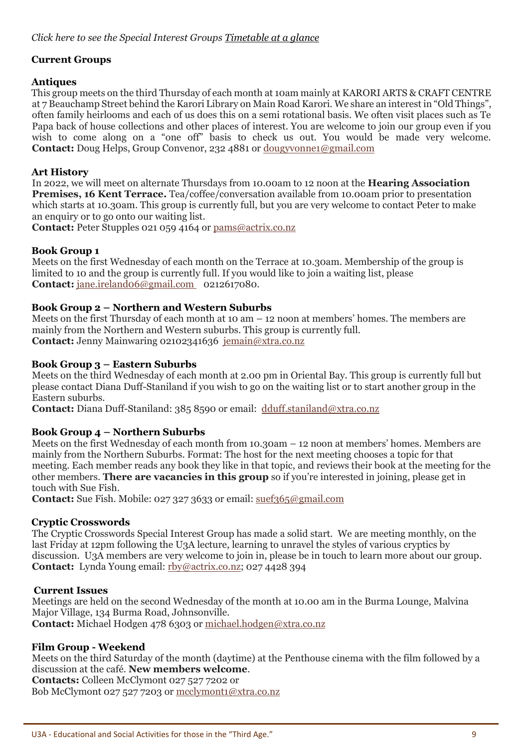# **Current Groups**

# **Antiques**

This group meets on the third Thursday of each month at 10am mainly at KARORI ARTS & CRAFT CENTRE at 7 Beauchamp Street behind the Karori Library on Main Road Karori. We share an interest in "Old Things", often family heirlooms and each of us does this on a semi rotational basis. We often visit places such as Te Papa back of house collections and other places of interest. You are welcome to join our group even if you wish to come along on a "one off" basis to check us out. You would be made very welcome. **Contact:** Doug Helps, Group Convenor, 232 4881 or [dougyvonne1@gmail.com](mailto:dougyvonne1@gmail.com)

# **Art History**

In 2022, we will meet on alternate Thursdays from 10.00am to 12 noon at the **Hearing Association Premises, 16 Kent Terrace.** Tea/coffee/conversation available from 10.00am prior to presentation which starts at 10.30am. This group is currently full, but you are very welcome to contact Peter to make an enquiry or to go onto our waiting list.

**Contact:** Peter Stupples 021 059 4164 or [pams@actrix.co.nz](mailto:pams@actrix.co.nz)

# **Book Group 1**

Meets on the first Wednesday of each month on the Terrace at 10.30am. Membership of the group is limited to 10 and the group is currently full. If you would like to join a waiting list, please **Contact:** [jane.ireland06@gmail.com](mailto:jane.ireland06@gmail.com) 0212617080.

# **Book Group 2 – Northern and Western Suburbs**

Meets on the first Thursday of each month at 10 am – 12 noon at members' homes. The members are mainly from the Northern and Western suburbs. This group is currently full. **Contact:** Jenny Mainwaring 02102341636 [jemain@xtra.co.nz](mailto:jemain@xtra.co.nz)

# **Book Group 3 – Eastern Suburbs**

Meets on the third Wednesday of each month at 2.00 pm in Oriental Bay. This group is currently full but please contact Diana Duff-Staniland if you wish to go on the waiting list or to start another group in the Eastern suburbs.

**Contact:** Diana Duff-Staniland: 385 8590 or email: [dduff.staniland@xtra.co.nz](mailto:dduff.staniland@xtra.co.nz)

### **Book Group 4 – Northern Suburbs**

Meets on the first Wednesday of each month from 10.30am – 12 noon at members' homes. Members are mainly from the Northern Suburbs. Format: The host for the next meeting chooses a topic for that meeting. Each member reads any book they like in that topic, and reviews their book at the meeting for the other members. **There are vacancies in this group** so if you're interested in joining, please get in touch with Sue Fish.

**Contact:** Sue Fish. Mobile: 027 327 3633 or email: [suef365@gmail.com](mailto:suef365@gmail.com)

### **Cryptic Crosswords**

The Cryptic Crosswords Special Interest Group has made a solid start. We are meeting monthly, on the last Friday at 12pm following the U3A lecture, learning to unravel the styles of various cryptics by discussion. U3A members are very welcome to join in, please be in touch to learn more about our group. **Contact:** Lynda Young email: [rby@actrix.co.nz;](mailto:rby@actrix.co.nz) 027 4428 394

### **Current Issues**

Meetings are held on the second Wednesday of the month at 10.00 am in the Burma Lounge, Malvina Major Village, 134 Burma Road, Johnsonville. **Contact:** Michael Hodgen 478 6303 or [michael.hodgen@xtra.co.nz](mailto:michael.hodgen@xtra.co.nz)

# **Film Group - Weekend**

Meets on the third Saturday of the month (daytime) at the Penthouse cinema with the film followed by a discussion at the café. **New members welcome**.

**Contacts:** Colleen McClymont 027 527 7202 or

Bob McClymont 027 527 7203 or [mcclymont1@xtra.co.nz](mailto:mcclymont1@xtra.co.nz)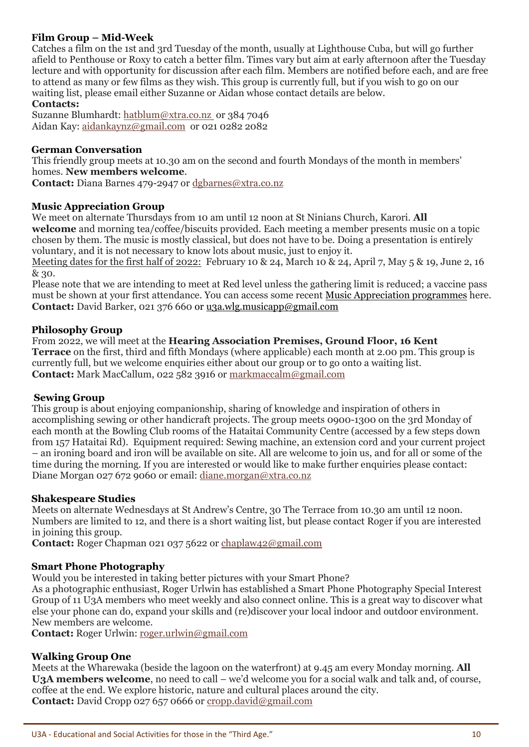# **Film Group – Mid-Week**

Catches a film on the 1st and 3rd Tuesday of the month, usually at Lighthouse Cuba, but will go further afield to Penthouse or Roxy to catch a better film. Times vary but aim at early afternoon after the Tuesday lecture and with opportunity for discussion after each film. Members are notified before each, and are free to attend as many or few films as they wish. This group is currently full, but if you wish to go on our waiting list, please email either Suzanne or Aidan whose contact details are below.

### **Contacts:**

Suzanne Blumhardt: [hatblum@xtra.co.nz](mailto:hatblum@xtra.co.nz) or 384 7046 Aidan Kay: [aidankaynz@gmail.com](mailto:aidankaynz@gmail.com) or 021 0282 2082

### **German Conversation**

This friendly group meets at 10.30 am on the second and fourth Mondays of the month in members' homes. **New members welcome**.

**Contact:** Diana Barnes 479-2947 or [dgbarnes@xtra.co.nz](mailto:dgbarnes@xtra.co.nz)

# **Music Appreciation Group**

We meet on alternate Thursdays from 10 am until 12 noon at St Ninians Church, Karori. **All welcome** and morning tea/coffee/biscuits provided. Each meeting a member presents music on a topic chosen by them. The music is mostly classical, but does not have to be. Doing a presentation is entirely voluntary, and it is not necessary to know lots about music, just to enjoy it.

Meeting dates for the first half of 2022: February 10 & 24, March 10 & 24, April 7, May 5 & 19, June 2, 16 & 30.

Please note that we are intending to meet at Red level unless the gathering limit is reduced; a vaccine pass must be shown at your first attendance. You can access some recent Music [Appreciation programmes](https://u3awellingtoncity.org.nz/wp-content/uploads/2021/03/U3A-Music-Appreciation-programmes.pdf) here. **Contact:** David Barker, 021 376 660 or [u3a.wlg.musicapp@gmail.com](mailto:u3a.wlg.musicapp@gmail.com)

# **Philosophy Group**

From 2022, we will meet at the **Hearing Association Premises, Ground Floor, 16 Kent Terrace** on the first, third and fifth Mondays (where applicable) each month at 2.00 pm. This group is currently full, but we welcome enquiries either about our group or to go onto a waiting list. **Contact:** Mark MacCallum, 022 582 3916 or [markmaccalm@gmail.com](mailto:markmaccalm@gmail.com)

### **Sewing Group**

This group is about enjoying companionship, sharing of knowledge and inspiration of others in accomplishing sewing or other handicraft projects. The group meets 0900-1300 on the 3rd Monday of each month at the Bowling Club rooms of the Hataitai Community Centre (accessed by a few steps down from 157 Hataitai Rd). Equipment required: Sewing machine, an extension cord and your current project – an ironing board and iron will be available on site. All are welcome to join us, and for all or some of the time during the morning. If you are interested or would like to make further enquiries please contact: Diane Morgan 027 672 9060 or email: [diane.morgan@xtra.co.nz](mailto:diane.morgan@xtra.co.nz) 

### **Shakespeare Studies**

Meets on alternate Wednesdays at St Andrew's Centre, 30 The Terrace from 10.30 am until 12 noon. Numbers are limited to 12, and there is a short waiting list, but please contact Roger if you are interested in joining this group.

**Contact:** Roger Chapman 021 037 5622 or [chaplaw42@gmail.com](mailto:chaplaw42@gmail.com)

### **Smart Phone Photography**

Would you be interested in taking better pictures with your Smart Phone?

As a photographic enthusiast, Roger Urlwin has established a Smart Phone Photography Special Interest Group of 11 U3A members who meet weekly and also connect online. This is a great way to discover what else your phone can do, expand your skills and (re)discover your local indoor and outdoor environment. New members are welcome.

**Contact:** Roger Urlwin: [roger.urlwin@gmail.com](mailto:roger.urlwin@gmail.com)

### **Walking Group One**

Meets at the Wharewaka (beside the lagoon on the waterfront) at 9.45 am every Monday morning. **All U3A members welcome**, no need to call – we'd welcome you for a social walk and talk and, of course, coffee at the end. We explore historic, nature and cultural places around the city. **Contact:** David Cropp 027 657 0666 or [cropp.david@gmail.com](mailto:cropp.david@gmail.com)